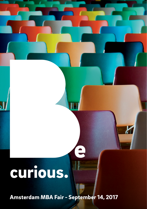## curious.

[Amsterdam MBA Fair - September 14, 2017](http://www.ivycircle.nl/2017/02/amsterdam-mba-fair-2017)